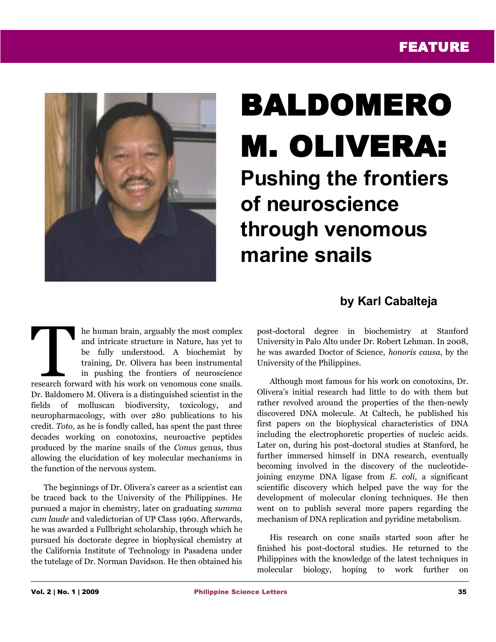## FEATURE



## BALDOMERO M. OLIVERA: **Pushing the frontiers of neuroscience through venomous marine snails**

## **by Karl Cabalteja**

he human brain, arguably the most complex and intricate structure in Nature, has yet to be fully understood. A biochemist by training, Dr. Olivera has been instrumental in pushing the frontiers of neuroscience research forward with his work on venomous complex and intricate structure in Nature, has yet to be fully understood. A biochemist by training, Dr. Olivera has been instrumental in pushing the frontiers of neuroscience res Dr. Baldomero M. Olivera is a distinguished scientist in the fields of molluscan biodiversity, toxicology, and neuropharmacology, with over 280 publications to his credit. *Toto,* as he is fondly called, has spent the past three decades working on conotoxins, neuroactive peptides produced by the marine snails of the *Conus* genus, thus allowing the elucidation of key molecular mechanisms in the function of the nervous system.

The beginnings of Dr. Olivera's career as a scientist can be traced back to the University of the Philippines. He pursued a major in chemistry, later on graduating *summa cum laude* and valedictorian of UP Class 1960. Afterwards, he was awarded a Fullbright scholarship, through which he pursued his doctorate degree in biophysical chemistry at the California Institute of Technology in Pasadena under the tutelage of Dr. Norman Davidson. He then obtained his

post-doctoral degree in biochemistry at Stanford University in Palo Alto under Dr. Robert Lehman. In 2008, he was awarded Doctor of Science, *honoris causa*, by the University of the Philippines.

Although most famous for his work on conotoxins, Dr. Olivera's initial research had little to do with them but rather revolved around the properties of the then-newly discovered DNA molecule. At Caltech, he published his first papers on the biophysical characteristics of DNA including the electrophoretic properties of nucleic acids. Later on, during his post-doctoral studies at Stanford, he further immersed himself in DNA research, eventually becoming involved in the discovery of the nucleotidejoining enzyme DNA ligase from *E. coli*, a significant scientific discovery which helped pave the way for the development of molecular cloning techniques. He then went on to publish several more papers regarding the mechanism of DNA replication and pyridine metabolism.

His research on cone snails started soon after he finished his post-doctoral studies. He returned to the Philippines with the knowledge of the latest techniques in molecular biology, hoping to work further on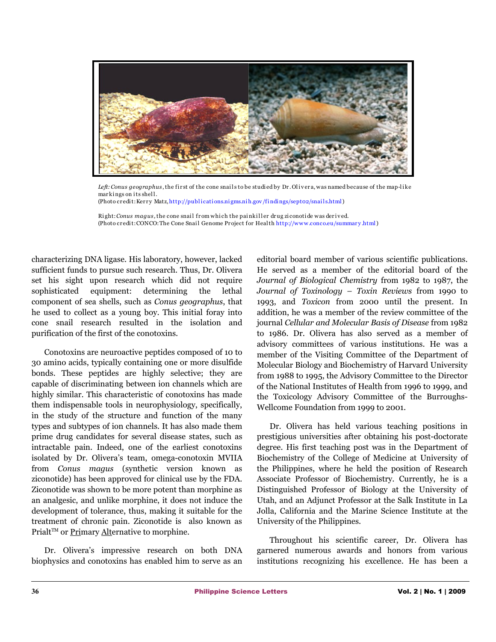

Left: Conus geographus, the first of the cone snails to be studied by Dr. Olivera, was named because of the map-like markings on its shell. (Photo credit: Kerry Matz, http://publications.nigms.nih.gov/findings/sept02/snails.html)

Right: *Conus magus*, the cone snail from which the painkiller drug ziconotide was derived. (Photo credit: CONCO: The Cone Snail Genome Project for Health http://www.conco.eu/summary.html)

characterizing DNA ligase. His laboratory, however, lacked sufficient funds to pursue such research. Thus, Dr. Olivera set his sight upon research which did not require sophisticated equipment: determining the lethal component of sea shells, such as *Conus geographus*, that he used to collect as a young boy. This initial foray into cone snail research resulted in the isolation and purification of the first of the conotoxins.

Conotoxins are neuroactive peptides composed of 10 to 30 amino acids, typically containing one or more disulfide bonds. These peptides are highly selective; they are capable of discriminating between ion channels which are highly similar. This characteristic of conotoxins has made them indispensable tools in neurophysiology, specifically, in the study of the structure and function of the many types and subtypes of ion channels. It has also made them prime drug candidates for several disease states, such as intractable pain. Indeed, one of the earliest conotoxins isolated by Dr. Olivera's team, omega-conotoxin MVIIA from *Conus magus* (synthetic version known as ziconotide) has been approved for clinical use by the FDA. Ziconotide was shown to be more potent than morphine as an analgesic, and unlike morphine, it does not induce the development of tolerance, thus, making it suitable for the treatment of chronic pain. Ziconotide is also known as Prialt™ or Primary Alternative to morphine.

Dr. Olivera's impressive research on both DNA biophysics and conotoxins has enabled him to serve as an

editorial board member of various scientific publications. He served as a member of the editorial board of the *Journal of Biological Chemistry* from 1982 to 1987, the *Journal of Toxinology – Toxin Reviews* from 1990 to 1993, and *Toxicon* from 2000 until the present. In addition, he was a member of the review committee of the journal *Cellular and Molecular Basis of Disease* from 1982 to 1986. Dr. Olivera has also served as a member of advisory committees of various institutions. He was a member of the Visiting Committee of the Department of Molecular Biology and Biochemistry of Harvard University from 1988 to 1995, the Advisory Committee to the Director of the National Institutes of Health from 1996 to 1999, and the Toxicology Advisory Committee of the Burroughs-Wellcome Foundation from 1999 to 2001.

Dr. Olivera has held various teaching positions in prestigious universities after obtaining his post-doctorate degree. His first teaching post was in the Department of Biochemistry of the College of Medicine at University of the Philippines, where he held the position of Research Associate Professor of Biochemistry. Currently, he is a Distinguished Professor of Biology at the University of Utah, and an Adjunct Professor at the Salk Institute in La Jolla, California and the Marine Science Institute at the University of the Philippines.

Throughout his scientific career, Dr. Olivera has garnered numerous awards and honors from various institutions recognizing his excellence. He has been a